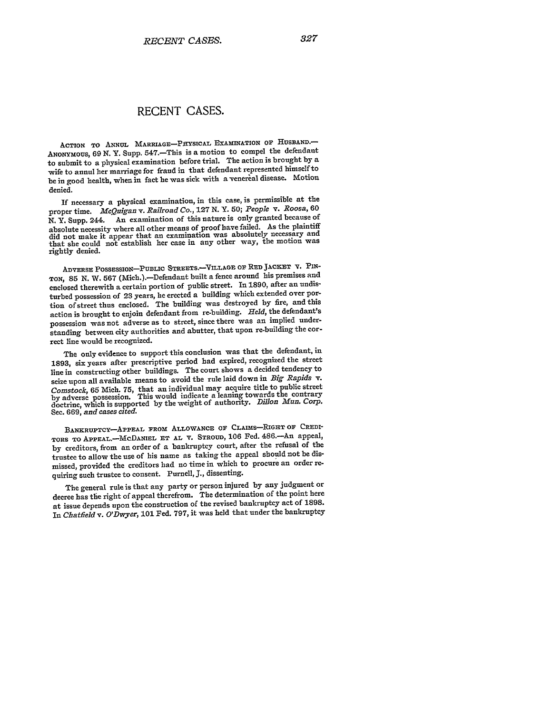## **RECENT CASES.**

**ACTION TO ANNUL** MARRIAGE-PITYSICAL **EXAMINATION or HUSBAND.-** ANONYMOUS, 69 N. Y. Supp. 547.-This is a motion to compel the defendant to submit to a physical examination before trial. The action is brought **by** <sup>a</sup> wife to annul her marriage for fraud in that defendant represented himself to be in good health, when in fact **he** was sick with a venerial disease. Motion denied.

If necessary a physical examination, in this case, is permissible at the proper time. *McQuigan v. Railroad Co.*, 127 N. Y. 50; *People v. Roosa*, 60 N. Y. Supp. 244. An examination of this nature is only granted because of An examination of this nature is only granted because of absolute necessity where all other means of proof have failed. As the plaintiff did not make it appear that an examination was absolutely necessary and that she could not establish her case in any other way, the motion was rightly denied.

**ADVERSE POSSESSION-PUBLIC STREETS.-VILLAGE; oF RED JACRET T.** PIN-**TON, 85 N.** W. 567 (Mich.).-Defendant built a fence around his premises and enclosed therewith a certain portion of public street. In 1890, after an undisturbed possession of 23 years, he erected a building which extended over portion of street thus enclosed. The building was destroyed **by** fire, and this action is brought to enjoin defendant from re-building. *Held,* the defendant's possession was not adverse as to street, since there was an implied understanding between city authorities and abutter, that upon re-building the correct line would be recognized.

The only evidence to support this conclusion was that the defendant, in **1893,** six years after prescriptive period had expired, recognized the street line in constructing other buildings. The court shows a decided tendency to seize upon all available means to avoid the rule laid down in *Big Rapids v. Comstock,* **65** Mich. **75,** that an individual may **acquire** title to public street **by** adverse possession. This would indicate a leaning towards the contrary doctrine, which is supported **by** the weight of authority. *Dillon Mun. Corp.* Sec. **669,** *and cases cited.*

BANKRUPTCY-APPEAL FROM ALLOWANCE OF CLAIMS-RIGHT OF CREDI-**TORS TO APPEAL.-McDANIEL ET AL V. STROUD, 106** Fed. 486.-An appeal, by creditors, from an order of a bankruptcy court, after the refusal of the trustee to allow the use of his name as taking the appeal should not be dismissed, provided the creditors had no time in which to procure an order requiring such trustee to consent. Purnell, J., dissenting.

The general rule is that any party or person injured **by** any judgment or decree has the right of appeal therefrom. The determination of the point here at issue depends upon the construction of the revised bankruptcy act of 1898. *In Chatfield v. O'Dwyer, 101* Fed. **797,** it was held that under the bankruptcy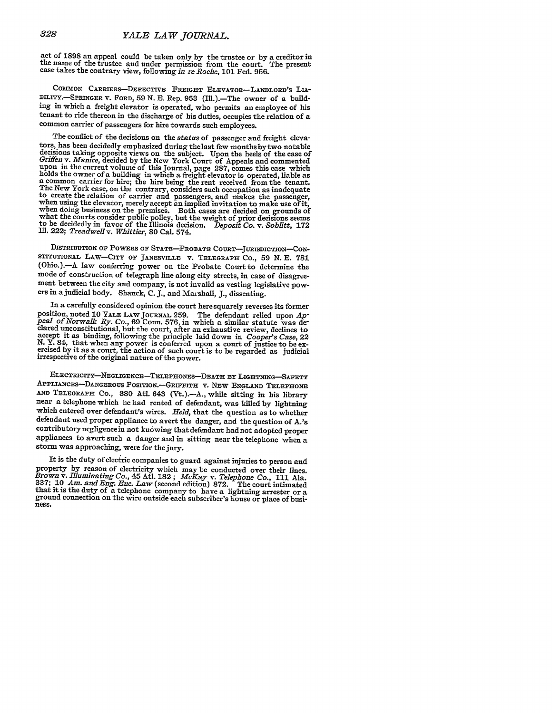act of 1898 an appeal could be taken only by the trustee or by a creditor in the name of the trustee and under permission from the court. The present case takes the contrary view, following in re Roche, 101 Fed. 956.

**COMMoN** CARRIERS-DEFECTIvE FREIGHT ELEVATOR-LANDLORD'S **LIA-** BILITY.-SPRINGER V. **FORD,** 59 N. E. Rep. 953 (Ill.).-The owner of a building in which a freight elevator is operated, who permits an employee of his tenant to ride thereon in the discharge of his duties, occupies the relation of a common carrier of passengers for hire towards such employees.

The conflict of the decisions on the *status* of passenger and freight eleva-<br>tors, has been decidedly emphasized during the last few months by two notable decisions taking opposite views on the subject. Upon the heels of the case of Griffen v. Manice, decided by the New York Court of Appeals and commented upon in the current volume of this Journal, page 287, comes this case holds the owner of a building in which a freight elevator is operated, liable as a common carrier for hire; the hire being the rent received from the tenant. The New York case, on the contrary, considers such occupation a

DISTRIBUTION **OF** PowERS **OF STATE-PROBATE COURT-JURISDICTION-CON-**STITUTIONAL LAw-CITY OF JANESVILLE v. TELEGRAPH CO., 59 N. E. **781** (Ohio.).-A law conferring power on the Probate Court to determine the mode of construction of telegraph line along city streets, in case of disagreement between the city and company, is not invalid as vesting legislative pow- ers in a judicial body. Shanck, C.J., and Marshall, J., dissenting.

In a carefully considered opinion the court here squarely reverses its former position, noted 10 YALE LAW JOURNAL 259. The defendant relied upon Appeal of Norwalk Ry. Co., 69 Conn. 576, in which a similar statute was de-<br>clared unconstitutional, but the court, after an exhaustive review, declines to

ELECTRICITY-NEGLIGENCE-TELEPHONES-DEATH BY LIGHTNING-SAFETY APPLIANCES-DANGEROUS POSITION.-GRIFFITH V. NEW ENGLAND TELEPHONE **AND** TELEGRAPH Co., **380** AtI. 643 (Vt.).-A., while sitting in his library near a telephone which he had rented of defendant, was killed **by** lightning which entered over defendant's wires. *Held,* that the question as to whether defendant used proper appliance to avert the danger, and the question of A.'s appliances to avert such a danger and in sitting near the telephone when a storm was approaching, were for the jury.

It is the duty of electric companies to guard against injuries to person and To be the state of electricity which may be conducted over their lines.<br>Brown v. Illuminating Co., 45 Atl. 182; McKay v. Telephone Co., 111 Ala.<br>337; 10 Am. and Eng. Enc. Law (second edition) 872. The court intimated<br>that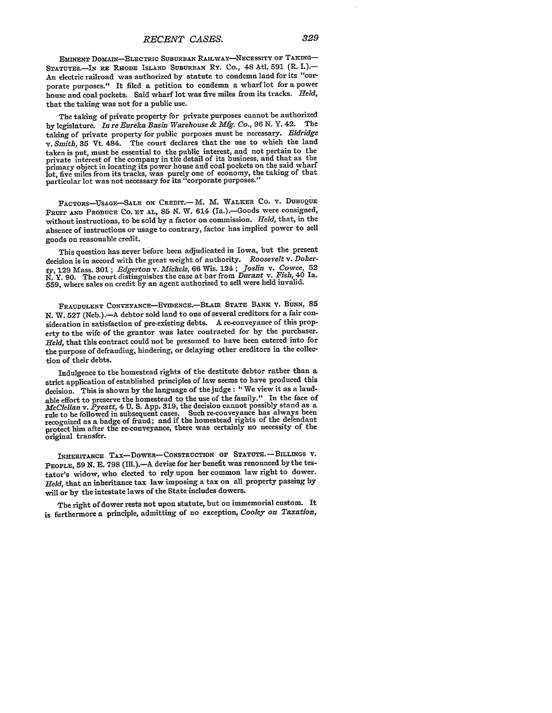**EMINENT** DOMAIN-ELECTRIC **SUBURBAN** RAILWAY-NECESSITY or TAKING-STATUTES.-IN RE RHODE ISLAND **SUBURBAN** Ry. Co., 48 Atl. **591** (R. I.).- An electric railroad was authorized by statute to condemn land for its "corporate purposes." It filed a petition to condemn a wharf lot for a power house and coal pockets. Said wharf lot was five miles from its tracks. *Held,* that the taking was not for a public use.

The taking of private property for private purposes cannot be authorized by legislature. *In re Eureka Basin Warehouse & Mfg. Co.,* 96 **N.** Y. 42. The taking of private property for public purposes must be necessary. *BIdridge v. Smith,* 35 Vt. 484. The court declares that the use to which the land taken is put, must be essential to the public interest, and not pertain to the private interest of the company in the detail of its business, and that as the primary object in locating its power house and coal pockets on the said wharf lot, five miles from its tracks, was purely one of economy, the taking of that particular lot was not necessary for its "corporate purposes."

FACTORS-USAGE-SALE ON CREDIT.- M. M. WALKER CO. V. DUBUQUE FRUIT **AND** PRODUCE CO. ET **AL,** 85 N. W. 614 (Ia.).-Goods were consigned, without instructions, to be sold by a factor on commission. *Held,* that, in the absence of instructions or usage to contrary, factor has implied power to sell goods on reasonable credit.

This question has never before been adjudicated in Iowa, but the present decision is in accord with the great weight of authority. *Roosevelt v. Doherty,* 129 Mass. 301 ; *Edgerton v. Michels,* **66** Wis. 124 ; *"foslin v. Cowee, 52* N. Y. 90. The court distinguishes the case at bar from *Durant v. Fish,* 40 Ia. 559, where sales on credit by an agent authorized to sell were held invalid.

FRAUDULENT CONVEYANCE-EVIDENCE.-BLAIR STATE BANK V. BUNN, 85 N. W. 527 (Neb.).-A debtor sold land to one of several creditors for a fair consideration in satisfaction of pre-existing debts. **A** re-conveyance of this property to the wife of the grantor was later contracted for **by** the purchaser. *Held,* that this contract could not be presumed to have been entered into for the purpose of defrauding, hindering, or delaying other creditors in the collection of their debts.

Indulgence to the homestead rights of the destitute debtor rather than a strict application of established principles of law seems to have produced this decision. This is shown by the language of the judge: "We view it as a laudable effort to preserve the homestead to the use of the family." In the face of *McClellan v. Pyeatt,* 4 U. S. App. 319, the decision cannot possibly stand as a rule to be followed in subsequent cases. Such re-conveyance has always been recognized as a badge of fraud; and if the homestead rights of the defendant protect him after the re-conveyance, there was certainly no necessity of the original transfer.

INHERITANCE TAX-DOWER-CONSTRUCTION OF STATUTE. - BILLINGS **V.** PEOPLE, 59 N. E. 798 (Ill.).-A devise for her benefit was renounced by the testator's widow, who elected to rely upon her common law right to dower. *Held,* that an inheritance tax law imposing a tax on all property passing by will or by the intestate laws of the State includes dowers.

The right of dower rests not upon statute, but on immemorial custom. It is furthermore a principle, admitting of no exception, *Cooley on Taxation,*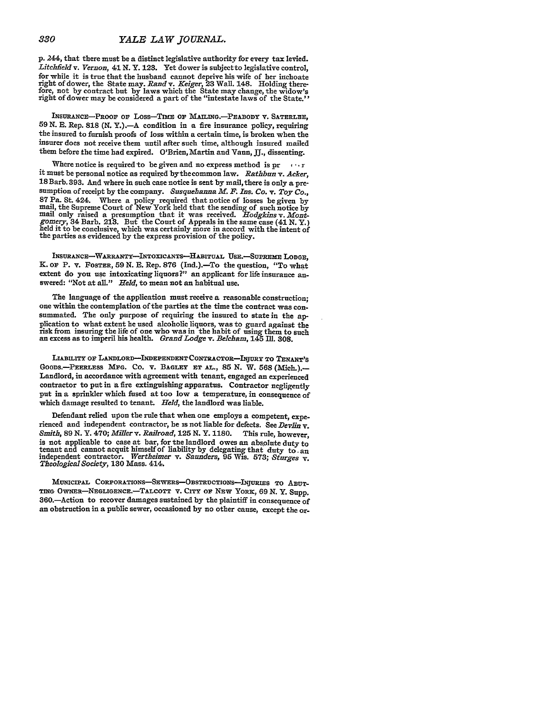**p.** 244, that there must be a distinct legislative authority for every tax levied. *Litchfleld v. Vernon, 41* **N.** Y. **123.** Yet dower is subjectto legislative control, for while it is true that the husband cannot deprive his wife of her inchoate right of dower, the State may. Rand v. Keiger, 23 Wall. 148. Holding there-<br>fore, not by contract but by laws which the State may change, the widow's<br>right of dower may be considered a part of the "intestate laws of the St

INSURANCE-PRooF or Loss-Tnm **oF** MAILING.-PABODY V. **SATERLEE, 59** N. B. Rep. **818** (N. Y.).-A condition in a fire insurance policy, requiring the insured to furnish proofs of loss within a certain time, is broken when the insurer does not receive them until after such time, although insured mailed them before the time had expired. O'Brien, Martin and Vaun, **JJ.,** dissenting.

Where notice is required to be given and no express method is  $pr \cdots r$ it must be personal notice as required bythecommon law. *Rathbun v. Acker,* 18 Barb. **393.** And where in such case notice is sent **by** mail, there is only a presumption of receipt by the company. *Susquehanna M. F. Ins. Co. v. Toy Co.,* 87 Pa. St. 424. Where a policy required that notice of losses be given **by** mail, the Supreme Court of New York held that the sending of such notice **by** mail only raised a presumption that it was received. *Hodgkins v. Mont*mail only raised a presumption that it was received. *Hodgkins v. Mont-gomery*, 34 Barb. 213. But the Court of Appeals in the same case (41 N. Y.) held it to be conclusive, which was certainly more in accord with the inten the parties as evidenced **by** the express provision of the policy.

**INSURANcE-WARRANTY-INTOXICANTS-HABITuAL USE.--SuPREmE LODGE,** K. **OF** P. v. FOSTER, **59 N. E.** Rep. **876** (Ind.).-To the question, "To what extent do you use intoxicating liquors?" an applicant for life insurance answered: "Not at all." *Held,* to mean not an habitual use.

The language of the application must receive a reasonable construction; one within the contemplation of the parties at the time the contract was consummated. The only purpose of requiring the insured to state in the **ap**plication to what extent he used alcoholic liquors, was to guard against the risk from insuring the life of one who was in the habit of using them to such an excess as to imperil his health. *Grand Lodge v. Belcham,* 145 **Ill. 308.**

**LIABILITY** OF LANDLORD-INDEPENDENT CONTRACTOR-INURY TO **TENANT'S** GooDs.-PEERLEss **MFG.** Co. v. **BAGLEY** ET **AL., 85 N.** W. **568** (Mich.).- Landlord, in accordance with agreement with tenant, engaged an experienced contractor to put in 'a fire extinguishing apparatus. Contractor negligently put in a sprinkler which fused at too low a temperature, in consequence of which damage resulted to tenant. *Held,* the landlord was liable.

Defendant relied upon the rule that when one employs a competent, experienced and independent contractor, he is not liable for defects. See *Devlin* v. *Smith,* **89 N.** Y. 470; *Miller v. Railroad, 125* **N.** Y. **1180.** This rule, however, is not applicable to case at bar, for the landlord owes an absolute duty to is not applicant to capit himself of liability by delegating that duty to an independent contractor. Werthelmer v. Saunders, 95 Wis. 573; Sturges v. Theological Society, 130 Mass. 414.

MUNICIPAL CORPORATIONS-SEWERS-OBSTRUCTIONS-INJURIES TO ABUT-TING OWNER-NEGLIGENCE.-TALCOTT v. CITY or NEW YORK, 69 **N.** Y. Supp. 360.-Action to recover damages sustained **by** the plaintiff in consequence of an obstruction in a public sewer, occasioned **by** no other cause, except the or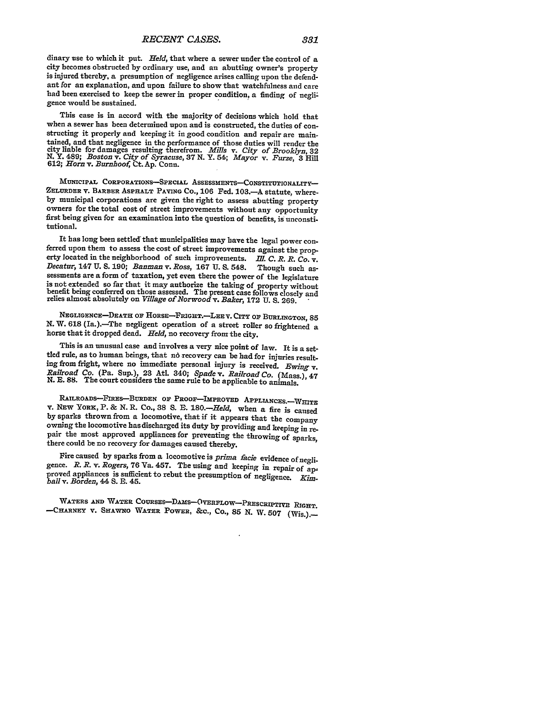dinary use to which it put. *Held,* that where a sewer under the control of a city becomes obstructed **by** ordinary use, and an abutting owner's property is injured thereby, a presumption of negligence arises calling upon the defendant for an explanation, and upon failure to show that watchfulness and care had been exercised to keep the sewer in proper condition, a finding of negligence would be sustained.

This case is in accord with the majority of decisions which hold that when a sewer has been determined upon and is constructed, the duties of constructing it properly and keeping it in good condition and repair are maintained, and that negligence in the performance of those duties will render the city liable for damages resulting therefrom. *Mills v. City of Brooklyn, 32* N. Y. 489; *Boston v. City of Syracuse,* **37 N.** Y. 54; *Mayor v. Furze,* **3** Hill **612;** *Horn* v. *Burnhoof,* Ct. Ap. Conn.

MUNICIPAL CORPORATIONS-SPECIAL ASSESSMENTS-CONSTITUTIONALITY-ZELURDER v. BARBER ASPHALT **PAVING CO., 106** Fed. **103.-A** statute, where**by** municipal corporations are given the right to assess abutting property owners for the total cost of street improvements without any opportunity first being given for an examination into the question of benefits, is unconstitutional.

It has long been settled that municipalities may have the legal power conferred upon them to assess the cost of street improvements against the property located in the neighborhood of such improvements. *ill. C. R. R. Co. v. Decatur,* 147 **U. S. 190;** *Banman* v. *Ross,* **167 U. S.** 548. Though such as- sessments are a form of taxation, yet even there the power of the legislature is not extended so far that it may authorize the taking of property without benefit being conferred on those assessed. The present case follows closely and relies almost absolutely on *Village of Norwood v. Baker*, 172 U. S. 269.

NEGLIGENcE-DEATH OP **HORSE-FRIGHT.--LEEV.** CITY **OF BURLINGTON, 85 N.** W. **618** (Ia.).-The negligent operation of a street roller **so** frightened a horse that it dropped dead. *Held,* no recovery from the city.

This is an unusual case and involves a very nice point of law. It is a settled rule, as to human beings, that no recovery can be had for injuries resulting from fright, where no immediate personal injury is received. *Ewing* v. *Railroad Co.* (Pa. Sup.), **23** At. 340; *Spade v. Railroad Co.* (Mass.), 47 N. **E. 88.** The court considers the same rule to be applicable to animals.

RAILROADS-FIRES-BURDEN OF PROOF-IMPROVED APPLIANCES.-WHITE v. NEW YORE, P. **& N.** R. Co., **38 S.** *E.* 180.-Held, when a fire is caused **by** sparks thrown from a locomotive, that if it appears that the company owning the locomotive has discharged its duty **by** providing and keeping in repair the most approved appliances for preventing the throwing **of** sparks, there could be no recovery for damages caused thereby.

Fire caused **by** sparks from a locomotive is *prima facie* evidence of negligence. *R. R. v. Rogers,* 76 Va. 457. The using and keeping in repair of approved appliances is sufficient to rebut the presumption of negligence. *Kimball v. Borden, 44* **S. B.** 45.

WATERS AND WATER COURSES-DAMS-OVERFLOW-PRESCRIPTIVE RIGHT. -CHARNEY V. SHAWNO WATER POWER, **&C., Co.,** 85 **N.** W. **507** (Wis.).-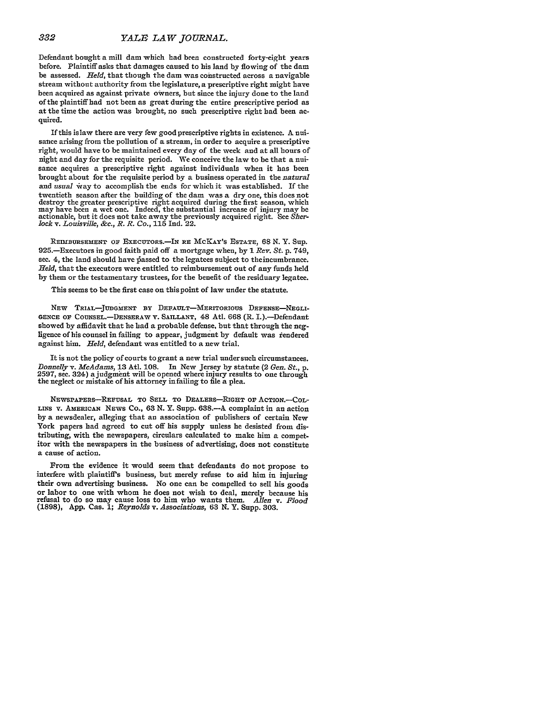Defendant bought a mill dam which had been constructed forty-eight years before. Plaintiff asks that damages caused to his land by flowing of the dam be assessed. *Held,* that though the dam was constructed across a navigable stream without authority from the legislature, a prescriptive right might have been acquired as against private owners, but since the injury done to the land of the plaintiff had not been as great during the entire prescriptive period as at the time the action was brought, no such prescriptive right had been acquired.

If this is law there are very few good prescriptive rights in existence. A nuisance arising from the pollution of a stream, in order to acquire a prescriptive right, would have to be maintained every day of the week and at all hours of night and day for the requisite period. We conceive the law to be that a nuisance acquires a prescriptive right against individuals when it has been brought about for the requisite period by a business operated in the *natural* and *usual* way to accomplish the ends for which it was established. If the twentieth season after the building of the dam was a dry one, this does not destroy the greater prescriptive right acquired during the first season, which may have been a wet one. Indeed, the substantial increase of injury may be actionable, but it does not take away the previously acquired right. See *Sher-lock v. Louisville, &c., R. R. Co.,* **115** Ind. 22.

REIMBURSEMENT **OF** EXECUTORS.-IN RE McKAY's **ESTATE,** 68 **N.** Y. Sup. 925.-Executors in good faith paid off a mortgage when, by **1** *Rev. St.* p. 749, sec. 4, the land should have passed to the legatees subject to the incumbrance. *Held,* that the executors were entitled to reimbursement out of any funds held by them or the testamentary trustees, for the benefit of the residuary legatee.

This seems to be the first case on this point of law under the statute.

NEW TRIAL-JUDGMENT BY DEFAULT-MERITORIOUS DEFENSE-NEGLI-**GENCE OF COUNSEL.-DENSERAW** V. SAILLANT, 48 Atl. 668 (R. I.).-Defendant showed *by* affidavit that he had a probable defense, but that through the negligence of his counsel in failing to appear, judgment by default was rendered against him. *Held,* defendant was entitled to a new trial.

It is not the policy of courts to grant a new trial undersuch circumstances. *Donnelly v. McAdams,* **13** Atl. 108. In New Jersey by statute (2 *Gen. St., p.* 2597, see. 324) ajudgment will be opened where injury results to one through the neglect or mistake of his attorney infailing to file a plea.

NEWSPAPERS-REFUSAL TO SELL TO DEALERS-RIGHT OF ACTION.-COL-**LINS** v. AMERICAN **NEWS** Co., **63 N.** Y. Supp. **638.-A** complaint in an action **by** a newsdealer, alleging that an association of publishers of certain New York papers bad agreed to cut off his supply unless he desisted from distributing, with the newspapers, circulars calculated to make him a competitor with the newspapers in the business of advertising, does not constitute a cause of action.

From the evidence it would seem that defendants do not propose to interfere with plaintiff's business, but merely refuse to aid him in injuring their own advertising business. No one can be compelled to sell his goods or labor to one with whom he does not wish to deal, merely because his refusal to do so may cause loss to him who wants them. *Allen* v. *Flood* **(1898), App.** Cas. **1;** *Reynolds v. Associations,* 63 **N.** Y. **Supp. 303.**